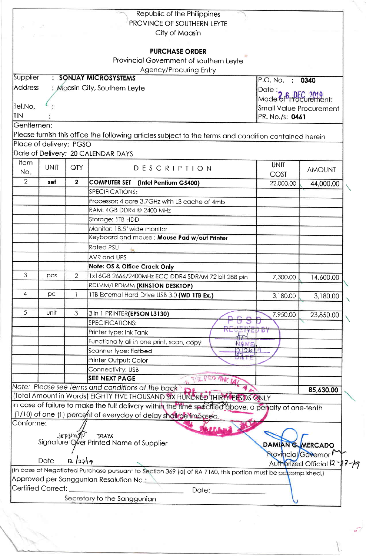|                                                 |                         |                         | Republic of the Philippines                                                                                 |                                  |                              |  |  |
|-------------------------------------------------|-------------------------|-------------------------|-------------------------------------------------------------------------------------------------------------|----------------------------------|------------------------------|--|--|
|                                                 |                         |                         | PROVINCE OF SOUTHERN LEYTE                                                                                  |                                  |                              |  |  |
|                                                 |                         |                         | City of Maasin                                                                                              |                                  |                              |  |  |
|                                                 |                         |                         | <b>PURCHASE ORDER</b>                                                                                       |                                  |                              |  |  |
|                                                 |                         |                         | Provincial Government of southern Leyte                                                                     |                                  |                              |  |  |
|                                                 |                         |                         | Agency/Procuring Entry                                                                                      |                                  |                              |  |  |
| Supplier                                        |                         |                         | : SONJAY MICROSYSTEMS                                                                                       | P.O. No. : 0340                  |                              |  |  |
| <b>Address</b><br>: Maasin City, Southern Leyte |                         |                         |                                                                                                             |                                  | Date: $\frac{1}{2}$          |  |  |
|                                                 |                         |                         |                                                                                                             | Mode of <b><i>oppEC</i></b> 2019 |                              |  |  |
| Tel.No.                                         |                         |                         |                                                                                                             |                                  | Small Value Procurement      |  |  |
| <b>TIN</b>                                      |                         |                         |                                                                                                             |                                  | PR. No./s: 0461              |  |  |
| Gentlemen:                                      |                         |                         |                                                                                                             |                                  |                              |  |  |
|                                                 |                         |                         | Please furnish this office the following articles subject to the terms and condition contained herein       |                                  |                              |  |  |
|                                                 | Place of delivery: PGSO |                         |                                                                                                             |                                  |                              |  |  |
|                                                 |                         |                         | Date of Delivery: 20 CALENDAR DAYS                                                                          |                                  |                              |  |  |
| Item                                            | <b>UNIT</b>             | QTY                     |                                                                                                             | <b>UNIT</b>                      |                              |  |  |
| No.                                             |                         |                         | <b>DESCRIPTION</b>                                                                                          | <b>COST</b>                      | <b>AMOUNT</b>                |  |  |
| $\overline{2}$                                  | set                     | $\overline{\mathbf{2}}$ | <b>COMPUTER SET</b><br>(Intel Pentium G5400)                                                                | 22,000.00                        | 44,000.00                    |  |  |
|                                                 |                         |                         | SPECIFICATIONS:                                                                                             |                                  |                              |  |  |
|                                                 |                         |                         | Processor: 4 core 3.7GHz with L3 cache of 4mb                                                               |                                  |                              |  |  |
|                                                 |                         |                         | RAM: 4GB DDR4 @ 2400 MHz                                                                                    |                                  |                              |  |  |
|                                                 |                         |                         | Storage: ITB HDD                                                                                            |                                  |                              |  |  |
|                                                 |                         |                         | Monitor: 18.5" wide monitor                                                                                 |                                  |                              |  |  |
|                                                 |                         |                         | Keyboard and mouse ; Mouse Pad w/out Printer                                                                |                                  |                              |  |  |
|                                                 |                         |                         | Rated PSU                                                                                                   |                                  |                              |  |  |
|                                                 |                         |                         | <b>AVR</b> and UPS                                                                                          |                                  |                              |  |  |
|                                                 |                         |                         | <b>Note: OS &amp; Office Crack Only</b>                                                                     |                                  |                              |  |  |
| 3                                               | pcs                     | $\overline{2}$          | 1x16GB 2666/2400MHz ECC DDR4 SDRAM 72 bit 288 pin                                                           | 7,300.00                         | 14,600.00                    |  |  |
|                                                 |                         |                         | RDIMM/LRDIMM (KINSTON DESKTOP)                                                                              |                                  |                              |  |  |
| 4                                               | pc                      |                         | 1TB External Hard Drive USB 3.0 (WD 1TB Ex.)                                                                | 3,180.00                         | 3,180.00                     |  |  |
|                                                 |                         |                         |                                                                                                             |                                  |                              |  |  |
| 5                                               | unit                    | 3                       | 3 in 1 PRINTER (EPSON L3130)                                                                                | 7,950.00                         | 23,850.00                    |  |  |
|                                                 |                         |                         | SPECIFICATIONS:                                                                                             |                                  |                              |  |  |
|                                                 |                         |                         | Printer type: Ink Tank                                                                                      | ו ס' ע                           |                              |  |  |
|                                                 |                         |                         | Functionally all in one print, scan, copy<br>AME                                                            |                                  |                              |  |  |
|                                                 |                         |                         | 20<br>Scanner tyoe: flatbed                                                                                 |                                  |                              |  |  |
|                                                 |                         |                         | Printer Output: Color                                                                                       |                                  |                              |  |  |
|                                                 |                         |                         | Connectivity: USB<br><b>SEE NEXT PAGE</b>                                                                   |                                  |                              |  |  |
|                                                 |                         |                         | Note: Please see terms and conditions at the back                                                           |                                  |                              |  |  |
|                                                 |                         |                         | (Total Amount in Words) EIGHTY FIVE THOUSAND SIX HUNDRED THIRTY PESOS ONLY                                  |                                  | 85,630.00                    |  |  |
|                                                 |                         |                         | In case of failure to make the full delivery within the time specified above, a penalty of one-tenth        |                                  |                              |  |  |
|                                                 |                         |                         | (1/10) of one (1) percent of everyday of delay shall be imposed.                                            |                                  |                              |  |  |
| Conforme:                                       |                         |                         |                                                                                                             |                                  |                              |  |  |
|                                                 |                         | JEPPYLYP                |                                                                                                             |                                  |                              |  |  |
|                                                 |                         |                         | TRAYA<br>Signature Over Printed Name of Supplier                                                            | <b>DAMIAN G. MERCADO</b>         |                              |  |  |
|                                                 |                         |                         |                                                                                                             | <b>Rrovincial/Governor</b>       |                              |  |  |
|                                                 | Date                    | 2 23                    |                                                                                                             |                                  | Authorized Official 12-27-19 |  |  |
|                                                 |                         |                         | (In case of Negotiated Purchase pursuant to Section 369 (a) of RA 7160, this portion must be accomplished.) |                                  |                              |  |  |
|                                                 |                         |                         | Approved per Sanggunian Resolution No.:                                                                     |                                  |                              |  |  |
|                                                 | Certified Correct:      |                         | Date: _______                                                                                               |                                  |                              |  |  |
|                                                 |                         |                         | Secretary to the Sanggunian                                                                                 |                                  |                              |  |  |

 $\frac{1}{2}$